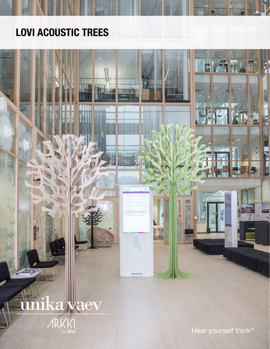## LOVI ACOUSTIC TREES

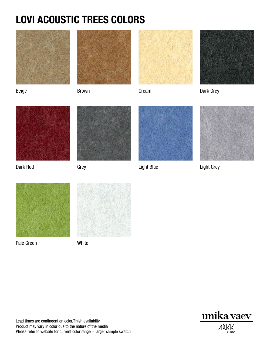## LOVI ACOUSTIC TREES COLORS

















Pale Green White







Dark Red Grey Grey Constants Light Blue Light Grey Constants Light Grey